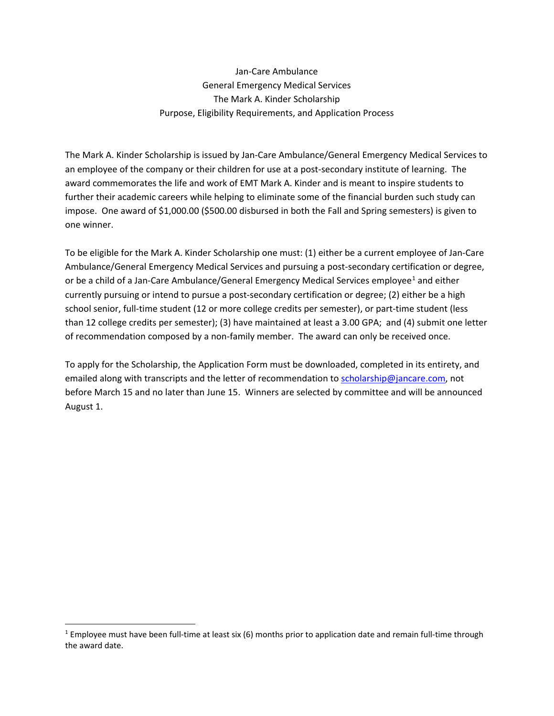Jan-Care Ambulance General Emergency Medical Services The Mark A. Kinder Scholarship Purpose, Eligibility Requirements, and Application Process

The Mark A. Kinder Scholarship is issued by Jan-Care Ambulance/General Emergency Medical Services to an employee of the company or their children for use at a post-secondary institute of learning. The award commemorates the life and work of EMT Mark A. Kinder and is meant to inspire students to further their academic careers while helping to eliminate some of the financial burden such study can impose. One award of \$1,000.00 (\$500.00 disbursed in both the Fall and Spring semesters) is given to one winner.

To be eligible for the Mark A. Kinder Scholarship one must: (1) either be a current employee of Jan-Care Ambulance/General Emergency Medical Services and pursuing a post-secondary certification or degree, or be a child of a Jan-Care Ambulance/General Emergency Medical Services employee<sup>[1](#page-0-0)</sup> and either currently pursuing or intend to pursue a post-secondary certification or degree; (2) either be a high school senior, full-time student (12 or more college credits per semester), or part-time student (less than 12 college credits per semester); (3) have maintained at least a 3.00 GPA; and (4) submit one letter of recommendation composed by a non-family member. The award can only be received once.

To apply for the Scholarship, the Application Form must be downloaded, completed in its entirety, and emailed along with transcripts and the letter of recommendation to [scholarship@jancare.com,](mailto:scholarship@jancare.com) not before March 15 and no later than June 15. Winners are selected by committee and will be announced August 1.

<span id="page-0-0"></span><sup>&</sup>lt;sup>1</sup> Employee must have been full-time at least six (6) months prior to application date and remain full-time through the award date.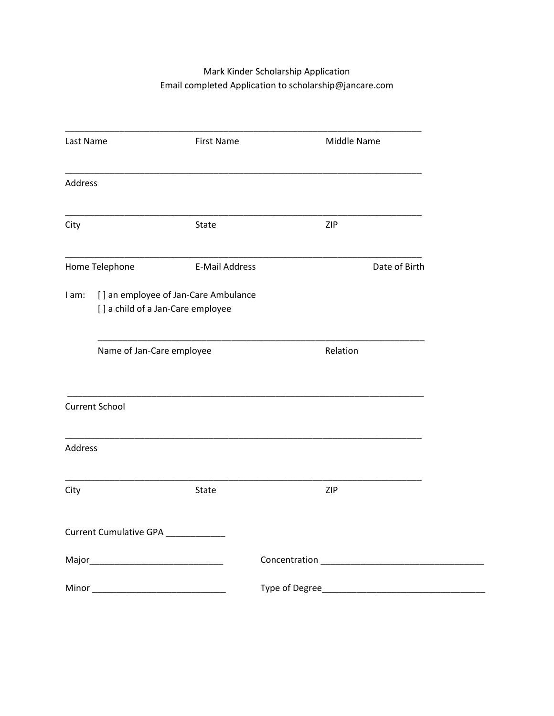# Mark Kinder Scholarship Application Email completed Application to scholarship@jancare.com

| Last Name      |                                                                           | <b>First Name</b>     | Middle Name |               |
|----------------|---------------------------------------------------------------------------|-----------------------|-------------|---------------|
| <b>Address</b> |                                                                           |                       |             |               |
| City           |                                                                           | State                 | ZIP         |               |
|                | Home Telephone                                                            | <b>E-Mail Address</b> |             | Date of Birth |
| I am:          | [] an employee of Jan-Care Ambulance<br>[] a child of a Jan-Care employee |                       |             |               |
|                | Name of Jan-Care employee                                                 |                       | Relation    |               |
|                | <b>Current School</b>                                                     |                       |             |               |
| Address        |                                                                           |                       |             |               |
| City           |                                                                           | State                 | ZIP         |               |
|                | Current Cumulative GPA                                                    |                       |             |               |
|                |                                                                           |                       |             |               |
|                |                                                                           |                       |             |               |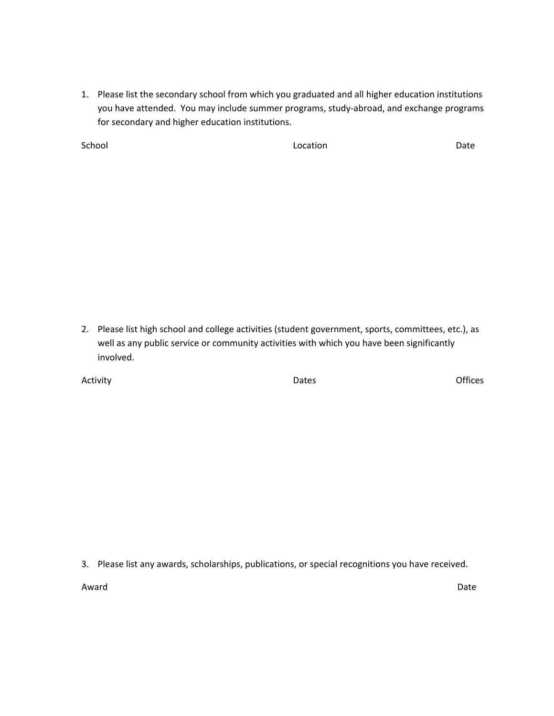1. Please list the secondary school from which you graduated and all higher education institutions you have attended. You may include summer programs, study-abroad, and exchange programs for secondary and higher education institutions.

School **Community Community Community Community** Location **Community Community Community Community** Date

2. Please list high school and college activities (student government, sports, committees, etc.), as well as any public service or community activities with which you have been significantly involved.

Activity **Dates** Offices

3. Please list any awards, scholarships, publications, or special recognitions you have received.

Award **Date**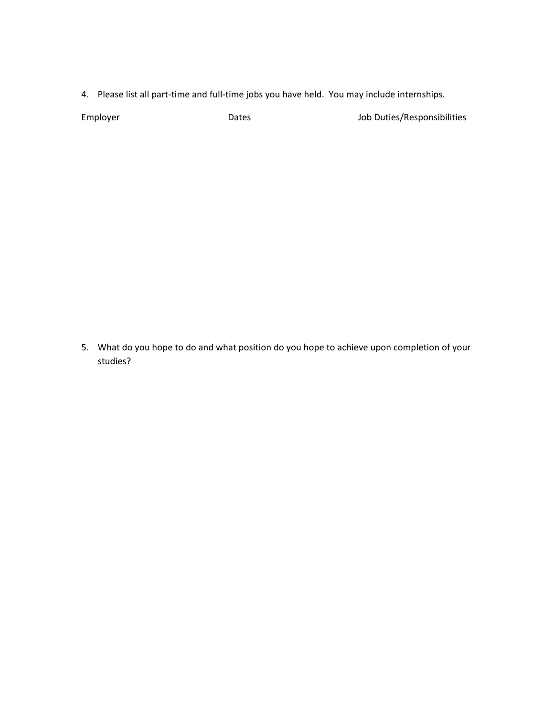4. Please list all part-time and full-time jobs you have held. You may include internships.

Employer **Employer** Dates Dates Job Duties/Responsibilities

5. What do you hope to do and what position do you hope to achieve upon completion of your studies?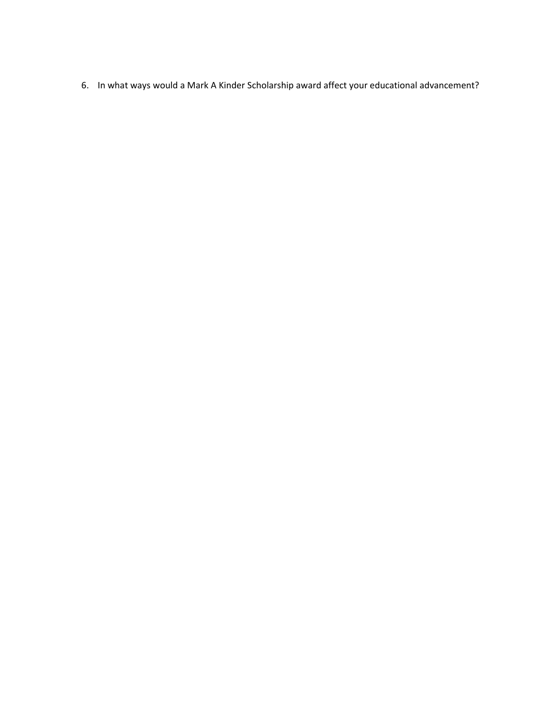6. In what ways would a Mark A Kinder Scholarship award affect your educational advancement?